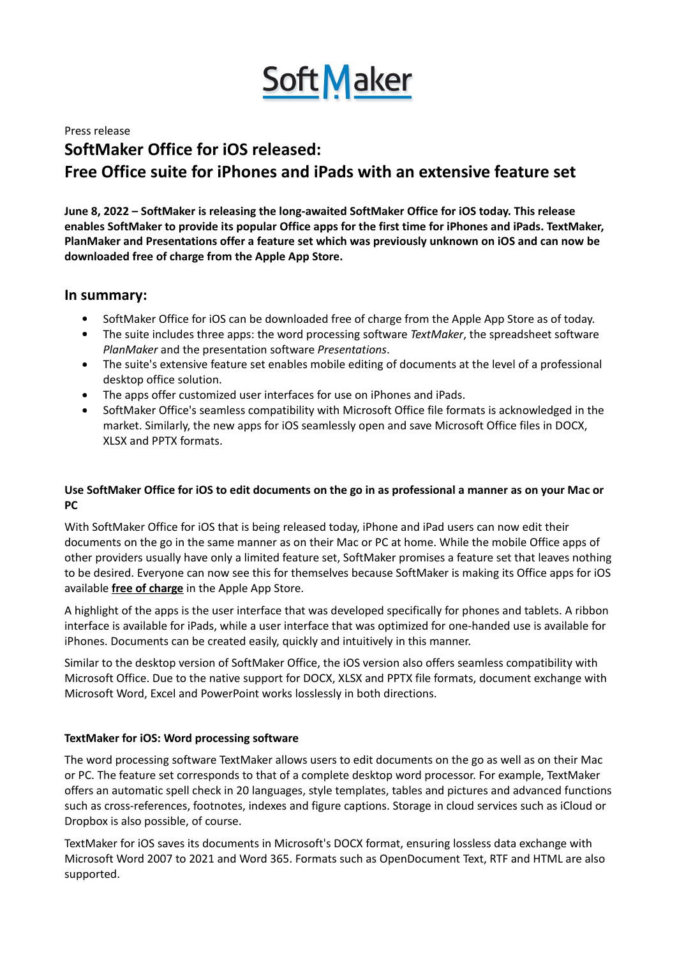

Press release

# **SoftMaker Office for iOS released: Free Office suite for iPhones and iPads with an extensive feature set**

**June 8, 2022 – SoftMaker is releasing the long-awaited SoftMaker Office for iOS today. This release enables SoftMaker to provide its popular Office apps for the first time for iPhones and iPads. TextMaker, PlanMaker and Presentations offer a feature set which was previously unknown on iOS and can now be downloaded free of charge from the Apple App Store.**

# **In summary:**

- SoftMaker Office for iOS can be downloaded free of charge from the Apple App Store as of today.
- The suite includes three apps: the word processing software *TextMaker*, the spreadsheet software *PlanMaker* and the presentation software *Presentations*.
- The suite's extensive feature set enables mobile editing of documents at the level of a professional desktop office solution.
- The apps offer customized user interfaces for use on iPhones and iPads.
- SoftMaker Office's seamless compatibility with Microsoft Office file formats is acknowledged in the market. Similarly, the new apps for iOS seamlessly open and save Microsoft Office files in DOCX, XLSX and PPTX formats.

## Use SoftMaker Office for iOS to edit documents on the go in as professional a manner as on your Mac or **PC**

With SoftMaker Office for iOS that is being released today, iPhone and iPad users can now edit their documents on the go in the same manner as on their Mac or PC at home. While the mobile Office apps of other providers usually have only a limited feature set, SoftMaker promises a feature set that leaves nothing to be desired. Everyone can now see this for themselves because SoftMaker is making its Office apps for iOS available **free of charge** in the Apple App Store.

A highlight of the apps is the user interface that was developed specifically for phones and tablets. A ribbon interface is available for iPads, while a user interface that was optimized for one-handed use is available for iPhones. Documents can be created easily, quickly and intuitively in this manner.

Similar to the desktop version of SoftMaker Office, the iOS version also offers seamless compatibility with Microsoft Office. Due to the native support for DOCX, XLSX and PPTX file formats, document exchange with Microsoft Word, Excel and PowerPoint works losslessly in both directions.

## **TextMaker for iOS: Word processing software**

The word processing software TextMaker allows users to edit documents on the go as well as on their Mac or PC. The feature set corresponds to that of a complete desktop word processor. For example, TextMaker offers an automatic spell check in 20 languages, style templates, tables and pictures and advanced functions such as cross-references, footnotes, indexes and figure captions. Storage in cloud services such as iCloud or Dropbox is also possible, of course.

TextMaker for iOS saves its documents in Microsoft's DOCX format, ensuring lossless data exchange with Microsoft Word 2007 to 2021 and Word 365. Formats such as OpenDocument Text, RTF and HTML are also supported.